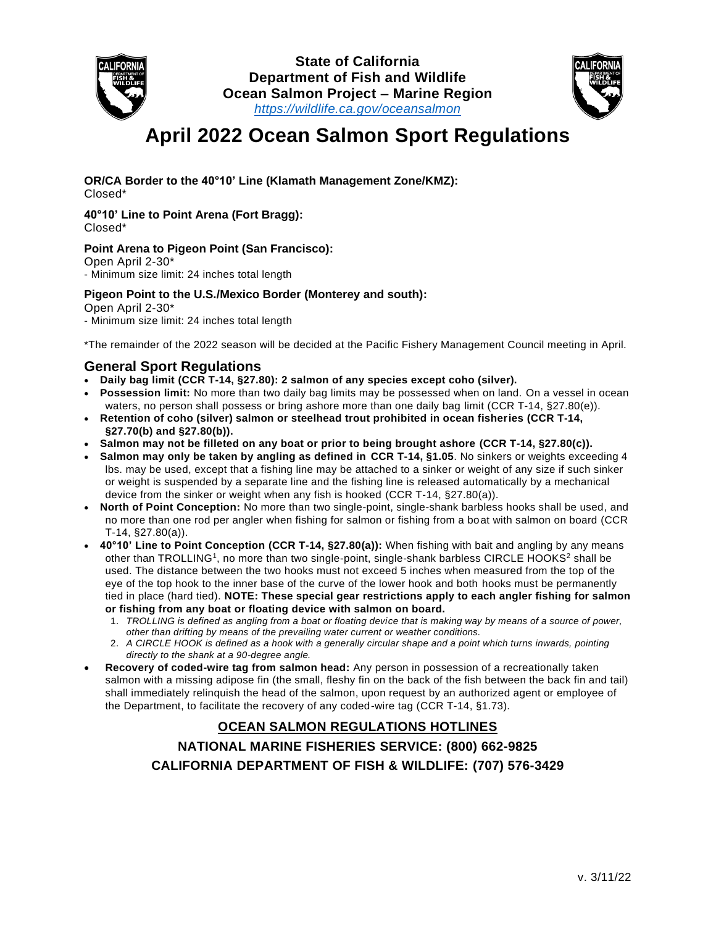



# **April 2022 Ocean Salmon Sport Regulations**

#### **OR/CA Border to the 40°10' Line (Klamath Management Zone/KMZ):** Closed\*

#### **40°10' Line to Point Arena (Fort Bragg):** Closed\*

#### **Point Arena to Pigeon Point (San Francisco):**

Open April 2-30\*

- Minimum size limit: 24 inches total length

#### **Pigeon Point to the U.S./Mexico Border (Monterey and south):**

Open April 2-30\*

- Minimum size limit: 24 inches total length

\*The remainder of the 2022 season will be decided at the Pacific Fishery Management Council meeting in April.

### **General Sport Regulations**

- **Daily bag limit (CCR T-14, §27.80): 2 salmon of any species except coho (silver).**
- **Possession limit:** No more than two daily bag limits may be possessed when on land. On a vessel in ocean waters, no person shall possess or bring ashore more than one daily bag limit (CCR T-14, §27.80(e)).
- **Retention of coho (silver) salmon or steelhead trout prohibited in ocean fisheries (CCR T-14, §27.70(b) and §27.80(b)).**
- **Salmon may not be filleted on any boat or prior to being brought ashore (CCR T-14, §27.80(c)).**
- **Salmon may only be taken by angling as defined in CCR T-14, §1.05**. No sinkers or weights exceeding 4 lbs. may be used, except that a fishing line may be attached to a sinker or weight of any size if such sinker or weight is suspended by a separate line and the fishing line is released automatically by a mechanical device from the sinker or weight when any fish is hooked (CCR T-14, §27.80(a)).
- **North of Point Conception:** No more than two single-point, single-shank barbless hooks shall be used, and no more than one rod per angler when fishing for salmon or fishing from a boat with salmon on board (CCR T-14, §27.80(a)).
- **40°10' Line to Point Conception (CCR T-14, §27.80(a)):** When fishing with bait and angling by any means other than TROLLING<sup>1</sup>, no more than two single-point, single-shank barbless CIRCLE HOOKS<sup>2</sup> shall be used. The distance between the two hooks must not exceed 5 inches when measured from the top of the eye of the top hook to the inner base of the curve of the lower hook and both hooks must be permanently tied in place (hard tied). **NOTE: These special gear restrictions apply to each angler fishing for salmon or fishing from any boat or floating device with salmon on board.**
	- 1. *TROLLING is defined as angling from a boat or floating device that is making way by means of a source of power, other than drifting by means of the prevailing water current or weather conditions.*
	- 2. *A CIRCLE HOOK is defined as a hook with a generally circular shape and a point which turns inwards, pointing directly to the shank at a 90-degree angle.*
- **Recovery of coded-wire tag from salmon head:** Any person in possession of a recreationally taken salmon with a missing adipose fin (the small, fleshy fin on the back of the fish between the back fin and tail) shall immediately relinquish the head of the salmon, upon request by an authorized agent or employee of the Department, to facilitate the recovery of any coded-wire tag (CCR T-14, §1.73).

## **OCEAN SALMON REGULATIONS HOTLINES**

## **NATIONAL MARINE FISHERIES SERVICE: (800) 662-9825 CALIFORNIA DEPARTMENT OF FISH & WILDLIFE: (707) 576-3429**